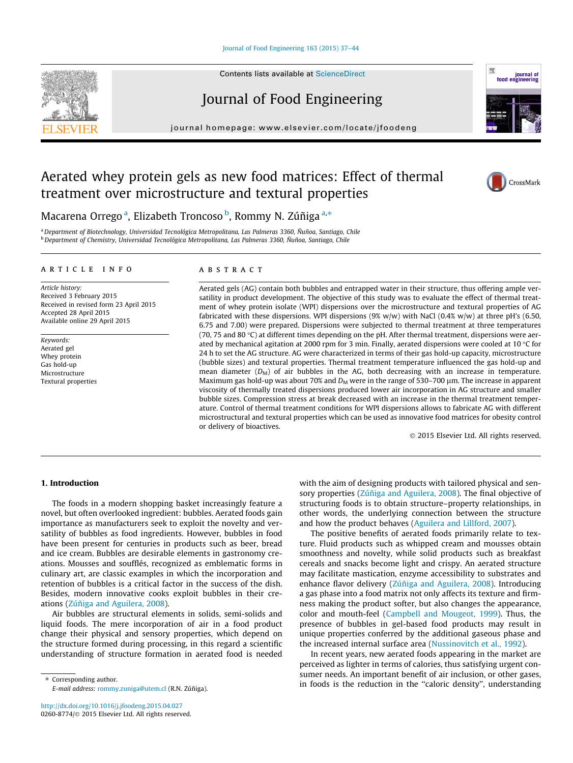# [Journal of Food Engineering 163 \(2015\) 37–44](http://dx.doi.org/10.1016/j.jfoodeng.2015.04.027)

Contents lists available at [ScienceDirect](http://www.sciencedirect.com/science/journal/02608774)

# Journal of Food Engineering

journal homepage: [www.elsevier.com/locate/jfoodeng](http://www.elsevier.com/locate/jfoodeng)

# Aerated whey protein gels as new food matrices: Effect of thermal treatment over microstructure and textural properties



Macarena Orrego<sup>a</sup>, Elizabeth Troncoso <sup>b</sup>, Rommy N. Zúñiga <sup>a,</sup>\*

a Department of Biotechnology, Universidad Tecnológica Metropolitana, Las Palmeras 3360, Ñuñoa, Santiago, Chile <sup>b</sup> Department of Chemistry, Universidad Tecnológica Metropolitana, Las Palmeras 3360, Ñuñoa, Santiago, Chile

#### article info

Article history: Received 3 February 2015 Received in revised form 23 April 2015 Accepted 28 April 2015 Available online 29 April 2015

Keywords: Aerated gel Whey protein Gas hold-up Microstructure Textural properties

# A B S T R A C T

Aerated gels (AG) contain both bubbles and entrapped water in their structure, thus offering ample versatility in product development. The objective of this study was to evaluate the effect of thermal treatment of whey protein isolate (WPI) dispersions over the microstructure and textural properties of AG fabricated with these dispersions. WPI dispersions ( $9\%$  w/w) with NaCl ( $0.4\%$  w/w) at three pH's (6.50, 6.75 and 7.00) were prepared. Dispersions were subjected to thermal treatment at three temperatures (70, 75 and 80 °C) at different times depending on the pH. After thermal treatment, dispersions were aerated by mechanical agitation at 2000 rpm for 3 min. Finally, aerated dispersions were cooled at 10 °C for 24 h to set the AG structure. AG were characterized in terms of their gas hold-up capacity, microstructure (bubble sizes) and textural properties. Thermal treatment temperature influenced the gas hold-up and mean diameter  $(D_M)$  of air bubbles in the AG, both decreasing with an increase in temperature. Maximum gas hold-up was about 70% and  $D_M$  were in the range of 530–700 µm. The increase in apparent viscosity of thermally treated dispersions produced lower air incorporation in AG structure and smaller bubble sizes. Compression stress at break decreased with an increase in the thermal treatment temperature. Control of thermal treatment conditions for WPI dispersions allows to fabricate AG with different microstructural and textural properties which can be used as innovative food matrices for obesity control or delivery of bioactives.

2015 Elsevier Ltd. All rights reserved.

# 1. Introduction

The foods in a modern shopping basket increasingly feature a novel, but often overlooked ingredient: bubbles. Aerated foods gain importance as manufacturers seek to exploit the novelty and versatility of bubbles as food ingredients. However, bubbles in food have been present for centuries in products such as beer, bread and ice cream. Bubbles are desirable elements in gastronomy creations. Mousses and soufflés, recognized as emblematic forms in culinary art, are classic examples in which the incorporation and retention of bubbles is a critical factor in the success of the dish. Besides, modern innovative cooks exploit bubbles in their creations [\(Zúñiga and Aguilera, 2008](#page-7-0)).

Air bubbles are structural elements in solids, semi-solids and liquid foods. The mere incorporation of air in a food product change their physical and sensory properties, which depend on the structure formed during processing, in this regard a scientific understanding of structure formation in aerated food is needed

⇑ Corresponding author. E-mail address: [rommy.zuniga@utem.cl](mailto:rommy.zuniga@utem.cl) (R.N. Zúñiga). with the aim of designing products with tailored physical and sensory properties ([Zúñiga and Aguilera, 2008\)](#page-7-0). The final objective of structuring foods is to obtain structure–property relationships, in other words, the underlying connection between the structure and how the product behaves ([Aguilera and Lillford, 2007\)](#page-6-0).

The positive benefits of aerated foods primarily relate to texture. Fluid products such as whipped cream and mousses obtain smoothness and novelty, while solid products such as breakfast cereals and snacks become light and crispy. An aerated structure may facilitate mastication, enzyme accessibility to substrates and enhance flavor delivery [\(Zúñiga and Aguilera, 2008](#page-7-0)). Introducing a gas phase into a food matrix not only affects its texture and firmness making the product softer, but also changes the appearance, color and mouth-feel [\(Campbell and Mougeot, 1999](#page-6-0)). Thus, the presence of bubbles in gel-based food products may result in unique properties conferred by the additional gaseous phase and the increased internal surface area ([Nussinovitch et al., 1992\)](#page-6-0).

In recent years, new aerated foods appearing in the market are perceived as lighter in terms of calories, thus satisfying urgent consumer needs. An important benefit of air inclusion, or other gases, in foods is the reduction in the ''caloric density'', understanding





journal of<br>food engineering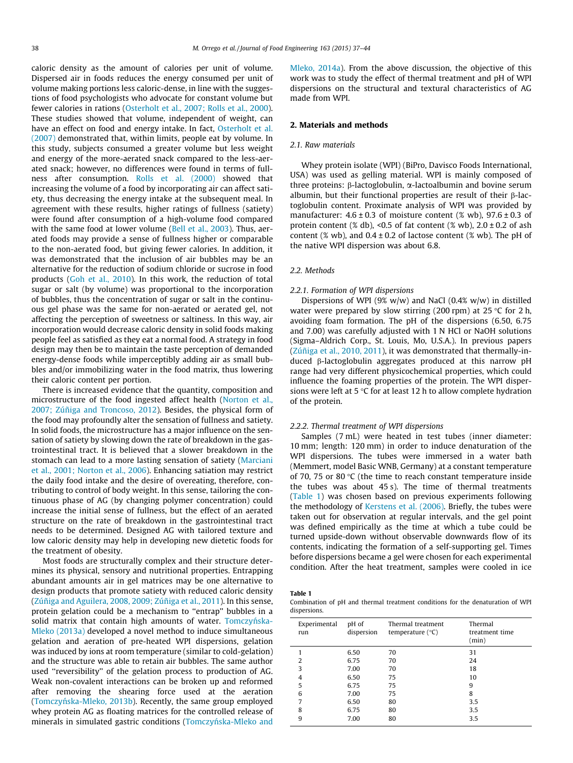caloric density as the amount of calories per unit of volume. Dispersed air in foods reduces the energy consumed per unit of volume making portions less caloric-dense, in line with the suggestions of food psychologists who advocate for constant volume but fewer calories in rations ([Osterholt et al., 2007; Rolls et al., 2000\)](#page-6-0). These studies showed that volume, independent of weight, can have an effect on food and energy intake. In fact, [Osterholt et al.](#page-6-0) [\(2007\)](#page-6-0) demonstrated that, within limits, people eat by volume. In this study, subjects consumed a greater volume but less weight and energy of the more-aerated snack compared to the less-aerated snack; however, no differences were found in terms of fullness after consumption. [Rolls et al. \(2000\)](#page-6-0) showed that increasing the volume of a food by incorporating air can affect satiety, thus decreasing the energy intake at the subsequent meal. In agreement with these results, higher ratings of fullness (satiety) were found after consumption of a high-volume food compared with the same food at lower volume ([Bell et al., 2003](#page-6-0)). Thus, aerated foods may provide a sense of fullness higher or comparable to the non-aerated food, but giving fewer calories. In addition, it was demonstrated that the inclusion of air bubbles may be an alternative for the reduction of sodium chloride or sucrose in food products ([Goh et al., 2010](#page-6-0)). In this work, the reduction of total sugar or salt (by volume) was proportional to the incorporation of bubbles, thus the concentration of sugar or salt in the continuous gel phase was the same for non-aerated or aerated gel, not affecting the perception of sweetness or saltiness. In this way, air incorporation would decrease caloric density in solid foods making people feel as satisfied as they eat a normal food. A strategy in food design may then be to maintain the taste perception of demanded energy-dense foods while imperceptibly adding air as small bubbles and/or immobilizing water in the food matrix, thus lowering their caloric content per portion.

There is increased evidence that the quantity, composition and microstructure of the food ingested affect health ([Norton et al.,](#page-6-0) [2007; Zúñiga and Troncoso, 2012\)](#page-6-0). Besides, the physical form of the food may profoundly alter the sensation of fullness and satiety. In solid foods, the microstructure has a major influence on the sensation of satiety by slowing down the rate of breakdown in the gastrointestinal tract. It is believed that a slower breakdown in the stomach can lead to a more lasting sensation of satiety [\(Marciani](#page-6-0) [et al., 2001; Norton et al., 2006](#page-6-0)). Enhancing satiation may restrict the daily food intake and the desire of overeating, therefore, contributing to control of body weight. In this sense, tailoring the continuous phase of AG (by changing polymer concentration) could increase the initial sense of fullness, but the effect of an aerated structure on the rate of breakdown in the gastrointestinal tract needs to be determined. Designed AG with tailored texture and low caloric density may help in developing new dietetic foods for the treatment of obesity.

Most foods are structurally complex and their structure determines its physical, sensory and nutritional properties. Entrapping abundant amounts air in gel matrices may be one alternative to design products that promote satiety with reduced caloric density ([Zúñiga and Aguilera, 2008, 2009; Zúñiga et al., 2011\)](#page-7-0). In this sense, protein gelation could be a mechanism to ''entrap'' bubbles in a solid matrix that contain high amounts of water. Tomczyńska-[Mleko \(2013a\)](#page-6-0) developed a novel method to induce simultaneous gelation and aeration of pre-heated WPI dispersions, gelation was induced by ions at room temperature (similar to cold-gelation) and the structure was able to retain air bubbles. The same author used ''reversibility'' of the gelation process to production of AG. Weak non-covalent interactions can be broken up and reformed after removing the shearing force used at the aeration (Tomczyń[ska-Mleko, 2013b\)](#page-6-0). Recently, the same group employed whey protein AG as floating matrices for the controlled release of minerals in simulated gastric conditions (Tomczyń[ska-Mleko and](#page-7-0) [Mleko, 2014a](#page-7-0)). From the above discussion, the objective of this work was to study the effect of thermal treatment and pH of WPI dispersions on the structural and textural characteristics of AG made from WPI.

## 2. Materials and methods

#### 2.1. Raw materials

Whey protein isolate (WPI) (BiPro, Davisco Foods International, USA) was used as gelling material. WPI is mainly composed of three proteins:  $\beta$ -lactoglobulin,  $\alpha$ -lactoalbumin and bovine serum albumin, but their functional properties are result of their  $\beta$ -lactoglobulin content. Proximate analysis of WPI was provided by manufacturer:  $4.6 \pm 0.3$  of moisture content (% wb),  $97.6 \pm 0.3$  of protein content (% db), <0.5 of fat content (% wb),  $2.0 \pm 0.2$  of ash content (% wb), and  $0.4 \pm 0.2$  of lactose content (% wb). The pH of the native WPI dispersion was about 6.8.

# 2.2. Methods

#### 2.2.1. Formation of WPI dispersions

Dispersions of WPI (9%  $w/w$ ) and NaCl (0.4%  $w/w$ ) in distilled water were prepared by slow stirring (200 rpm) at 25  $\degree$ C for 2 h, avoiding foam formation. The pH of the dispersions (6.50, 6.75 and 7.00) was carefully adjusted with 1 N HCl or NaOH solutions (Sigma–Aldrich Corp., St. Louis, Mo, U.S.A.). In previous papers ([Zúñiga et al., 2010, 2011](#page-7-0)), it was demonstrated that thermally-induced b-lactoglobulin aggregates produced at this narrow pH range had very different physicochemical properties, which could influence the foaming properties of the protein. The WPI dispersions were left at 5  $\mathrm{^{\circ}C}$  for at least 12 h to allow complete hydration of the protein.

# 2.2.2. Thermal treatment of WPI dispersions

Samples (7 mL) were heated in test tubes (inner diameter: 10 mm; length: 120 mm) in order to induce denaturation of the WPI dispersions. The tubes were immersed in a water bath (Memmert, model Basic WNB, Germany) at a constant temperature of 70, 75 or 80  $\degree$ C (the time to reach constant temperature inside the tubes was about 45 s). The time of thermal treatments (Table 1) was chosen based on previous experiments following the methodology of [Kerstens et al. \(2006\)](#page-6-0). Briefly, the tubes were taken out for observation at regular intervals, and the gel point was defined empirically as the time at which a tube could be turned upside-down without observable downwards flow of its contents, indicating the formation of a self-supporting gel. Times before dispersions became a gel were chosen for each experimental condition. After the heat treatment, samples were cooled in ice

Table 1

Combination of pH and thermal treatment conditions for the denaturation of WPI dispersions.

| Experimental<br>run | pH of<br>dispersion | Thermal treatment<br>temperature $(^{\circ}C)$ | Thermal<br>treatment time<br>(min) |
|---------------------|---------------------|------------------------------------------------|------------------------------------|
|                     | 6.50                | 70                                             | 31                                 |
| $\overline{2}$      | 6.75                | 70                                             | 24                                 |
| 3                   | 7.00                | 70                                             | 18                                 |
| 4                   | 6.50                | 75                                             | 10                                 |
| 5                   | 6.75                | 75                                             | 9                                  |
| 6                   | 7.00                | 75                                             | 8                                  |
| 7                   | 6.50                | 80                                             | 3.5                                |
| 8                   | 6.75                | 80                                             | 3.5                                |
| 9                   | 7.00                | 80                                             | 3.5                                |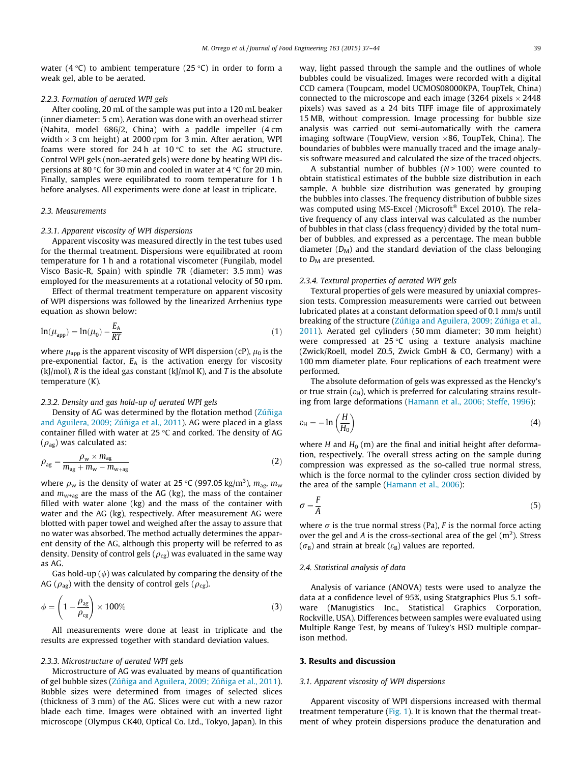<span id="page-2-0"></span>water (4 °C) to ambient temperature (25 °C) in order to form a weak gel, able to be aerated.

#### 2.2.3. Formation of aerated WPI gels

After cooling, 20 mL of the sample was put into a 120 mL beaker (inner diameter: 5 cm). Aeration was done with an overhead stirrer (Nahita, model 686/2, China) with a paddle impeller (4 cm width  $\times$  3 cm height) at 2000 rpm for 3 min. After aeration, WPI foams were stored for 24 h at 10  $^{\circ}$ C to set the AG structure. Control WPI gels (non-aerated gels) were done by heating WPI dispersions at 80 °C for 30 min and cooled in water at 4 °C for 20 min. Finally, samples were equilibrated to room temperature for 1 h before analyses. All experiments were done at least in triplicate.

# 2.3. Measurements

# 2.3.1. Apparent viscosity of WPI dispersions

Apparent viscosity was measured directly in the test tubes used for the thermal treatment. Dispersions were equilibrated at room temperature for 1 h and a rotational viscometer (Fungilab, model Visco Basic-R, Spain) with spindle 7R (diameter: 3.5 mm) was employed for the measurements at a rotational velocity of 50 rpm.

Effect of thermal treatment temperature on apparent viscosity of WPI dispersions was followed by the linearized Arrhenius type equation as shown below:

$$
\ln(\mu_{app}) = \ln(\mu_0) - \frac{E_A}{RT}
$$
\n(1)

where  $\mu_{app}$  is the apparent viscosity of WPI dispersion (cP),  $\mu_0$  is the pre-exponential factor,  $E_A$  is the activation energy for viscosity  $(kI/mol)$ , R is the ideal gas constant  $(kI/mol K)$ , and T is the absolute temperature (K).

# 2.3.2. Density and gas hold-up of aerated WPI gels

Density of AG was determined by the flotation method ([Zúñiga](#page-7-0) [and Aguilera, 2009; Zúñiga et al., 2011](#page-7-0)). AG were placed in a glass container filled with water at 25 °C and corked. The density of AG  $(\rho_{ag})$  was calculated as:

$$
\rho_{\rm ag} = \frac{\rho_{\rm w} \times m_{\rm ag}}{m_{\rm ag} + m_{\rm w} - m_{\rm w+ag}}\tag{2}
$$

where  $\rho_\mathsf{w}$  is the density of water at 25 °C (997.05 kg/m $^3$ ),  $m_\mathsf{ag},\,m_\mathsf{w}$ and  $m_{w+ag}$  are the mass of the AG (kg), the mass of the container filled with water alone (kg) and the mass of the container with water and the AG (kg), respectively. After measurement AG were blotted with paper towel and weighed after the assay to assure that no water was absorbed. The method actually determines the apparent density of the AG, although this property will be referred to as density. Density of control gels ( $\rho_{cg}$ ) was evaluated in the same way as AG.

Gas hold-up  $(\phi)$  was calculated by comparing the density of the AG ( $\rho_{ag}$ ) with the density of control gels ( $\rho_{cg}$ ).

$$
\phi = \left(1 - \frac{\rho_{\text{ag}}}{\rho_{\text{cg}}}\right) \times 100\%
$$
\n(3)

All measurements were done at least in triplicate and the results are expressed together with standard deviation values.

# 2.3.3. Microstructure of aerated WPI gels

Microstructure of AG was evaluated by means of quantification of gel bubble sizes [\(Zúñiga and Aguilera, 2009; Zúñiga et al., 2011\)](#page-7-0). Bubble sizes were determined from images of selected slices (thickness of 3 mm) of the AG. Slices were cut with a new razor blade each time. Images were obtained with an inverted light microscope (Olympus CK40, Optical Co. Ltd., Tokyo, Japan). In this way, light passed through the sample and the outlines of whole bubbles could be visualized. Images were recorded with a digital CCD camera (Toupcam, model UCMOS08000KPA, ToupTek, China) connected to the microscope and each image (3264 pixels  $\times$  2448 pixels) was saved as a 24 bits TIFF image file of approximately 15 MB, without compression. Image processing for bubble size analysis was carried out semi-automatically with the camera imaging software (ToupView, version  $\times 86$ , ToupTek, China). The boundaries of bubbles were manually traced and the image analysis software measured and calculated the size of the traced objects.

A substantial number of bubbles  $(N > 100)$  were counted to obtain statistical estimates of the bubble size distribution in each sample. A bubble size distribution was generated by grouping the bubbles into classes. The frequency distribution of bubble sizes was computed using MS-Excel (Microsoft® Excel 2010). The relative frequency of any class interval was calculated as the number of bubbles in that class (class frequency) divided by the total number of bubbles, and expressed as a percentage. The mean bubble diameter  $(D_M)$  and the standard deviation of the class belonging to  $D_M$  are presented.

# 2.3.4. Textural properties of aerated WPI gels

Textural properties of gels were measured by uniaxial compression tests. Compression measurements were carried out between lubricated plates at a constant deformation speed of 0.1 mm/s until breaking of the structure ([Zúñiga and Aguilera, 2009; Zúñiga et al.,](#page-7-0) [2011](#page-7-0)). Aerated gel cylinders (50 mm diameter; 30 mm height) were compressed at 25  $\degree$ C using a texture analysis machine (Zwick/Roell, model Z0.5, Zwick GmbH & CO, Germany) with a 100 mm diameter plate. Four replications of each treatment were performed.

The absolute deformation of gels was expressed as the Hencky's or true strain  $(\varepsilon_{H})$ , which is preferred for calculating strains resulting from large deformations [\(Hamann et al., 2006; Steffe, 1996](#page-6-0)):

$$
\varepsilon_{\rm H} = -\ln\left(\frac{H}{H_0}\right) \tag{4}
$$

where H and  $H_0$  (m) are the final and initial height after deformation, respectively. The overall stress acting on the sample during compression was expressed as the so-called true normal stress, which is the force normal to the cylinder cross section divided by the area of the sample ([Hamann et al., 2006\)](#page-6-0):

$$
\sigma = \frac{F}{A} \tag{5}
$$

where  $\sigma$  is the true normal stress (Pa), F is the normal force acting over the gel and A is the cross-sectional area of the gel  $(m^2)$ . Stress  $(\sigma_B)$  and strain at break ( $\varepsilon_B$ ) values are reported.

# 2.4. Statistical analysis of data

Analysis of variance (ANOVA) tests were used to analyze the data at a confidence level of 95%, using Statgraphics Plus 5.1 software (Manugistics Inc., Statistical Graphics Corporation, Rockville, USA). Differences between samples were evaluated using Multiple Range Test, by means of Tukey's HSD multiple comparison method.

# 3. Results and discussion

# 3.1. Apparent viscosity of WPI dispersions

Apparent viscosity of WPI dispersions increased with thermal treatment temperature [\(Fig. 1](#page-3-0)). It is known that the thermal treatment of whey protein dispersions produce the denaturation and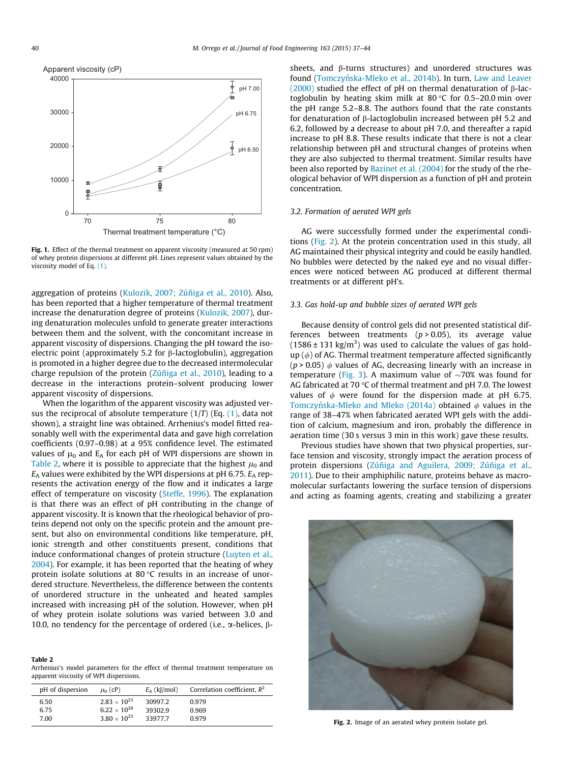<span id="page-3-0"></span>

Fig. 1. Effect of the thermal treatment on apparent viscosity (measured at 50 rpm) of whey protein dispersions at different pH. Lines represent values obtained by the viscosity model of Eq. [\(1\)](#page-2-0).

aggregation of proteins ([Kulozik, 2007; Zúñiga et al., 2010\)](#page-6-0). Also, has been reported that a higher temperature of thermal treatment increase the denaturation degree of proteins [\(Kulozik, 2007\)](#page-6-0), during denaturation molecules unfold to generate greater interactions between them and the solvent, with the concomitant increase in apparent viscosity of dispersions. Changing the pH toward the isoelectric point (approximately 5.2 for  $\beta$ -lactoglobulin), aggregation is promoted in a higher degree due to the decreased intermolecular charge repulsion of the protein ([Zúñiga et al., 2010](#page-7-0)), leading to a decrease in the interactions protein–solvent producing lower apparent viscosity of dispersions.

When the logarithm of the apparent viscosity was adjusted versus the reciprocal of absolute temperature  $(1/T)$  (Eq.  $(1)$ , data not shown), a straight line was obtained. Arrhenius's model fitted reasonably well with the experimental data and gave high correlation coefficients (0.97–0.98) at a 95% confidence level. The estimated values of  $\mu_0$  and  $E_A$  for each pH of WPI dispersions are shown in Table 2, where it is possible to appreciate that the highest  $\mu_0$  and  $E_A$  values were exhibited by the WPI dispersions at pH 6.75.  $E_A$  represents the activation energy of the flow and it indicates a large effect of temperature on viscosity ([Steffe, 1996](#page-6-0)). The explanation is that there was an effect of pH contributing in the change of apparent viscosity. It is known that the rheological behavior of proteins depend not only on the specific protein and the amount present, but also on environmental conditions like temperature, pH, ionic strength and other constituents present, conditions that induce conformational changes of protein structure ([Luyten et al.,](#page-6-0) [2004\)](#page-6-0). For example, it has been reported that the heating of whey protein isolate solutions at 80 °C results in an increase of unordered structure. Nevertheless, the difference between the contents of unordered structure in the unheated and heated samples increased with increasing pH of the solution. However, when pH of whey protein isolate solutions was varied between 3.0 and 10.0, no tendency for the percentage of ordered (i.e.,  $\alpha$ -helices,  $\beta$ -

#### Table 2

Arrhenius's model parameters for the effect of thermal treatment temperature on apparent viscosity of WPI dispersions.

| pH of dispersion | $\mu_0$ (cP)          | $E_A$ (kJ/mol) | Correlation coefficient. $R^2$ |
|------------------|-----------------------|----------------|--------------------------------|
| 6.50             | $2.83 \times 10^{23}$ | 30997.2        | 0.979                          |
| 6.75             | $6.22 \times 10^{28}$ | 39302.9        | 0.969                          |
| 7.00             | $3.80 \times 10^{25}$ | 33977.7        | 0.979                          |

sheets, and b-turns structures) and unordered structures was found (Tomczyń[ska-Mleko et al., 2014b\)](#page-7-0). In turn, [Law and Leaver](#page-6-0)  $(2000)$  studied the effect of pH on thermal denaturation of B-lactoglobulin by heating skim milk at 80  $\degree$ C for 0.5–20.0 min over the pH range 5.2–8.8. The authors found that the rate constants for denaturation of  $\beta$ -lactoglobulin increased between pH 5.2 and 6.2, followed by a decrease to about pH 7.0, and thereafter a rapid increase to pH 8.8. These results indicate that there is not a clear relationship between pH and structural changes of proteins when they are also subjected to thermal treatment. Similar results have been also reported by [Bazinet et al. \(2004\)](#page-6-0) for the study of the rheological behavior of WPI dispersion as a function of pH and protein concentration.

# 3.2. Formation of aerated WPI gels

AG were successfully formed under the experimental conditions (Fig. 2). At the protein concentration used in this study, all AG maintained their physical integrity and could be easily handled. No bubbles were detected by the naked eye and no visual differences were noticed between AG produced at different thermal treatments or at different pH's.

# 3.3. Gas hold-up and bubble sizes of aerated WPI gels

Because density of control gels did not presented statistical differences between treatments  $(p > 0.05)$ , its average value  $(1586 \pm 131 \text{ kg/m}^3)$  was used to calculate the values of gas holdup  $(\phi)$  of AG. Thermal treatment temperature affected significantly  $(p > 0.05)$   $\phi$  values of AG, decreasing linearly with an increase in temperature ([Fig. 3](#page-4-0)). A maximum value of  $\sim$ 70% was found for AG fabricated at 70 °C of thermal treatment and pH 7.0. The lowest values of  $\phi$  were found for the dispersion made at pH 6.75. Tomczyń[ska-Mleko and Mleko \(2014a\)](#page-7-0) obtained  $\phi$  values in the range of 38–47% when fabricated aerated WPI gels with the addition of calcium, magnesium and iron, probably the difference in aeration time (30 s versus 3 min in this work) gave these results.

Previous studies have shown that two physical properties, surface tension and viscosity, strongly impact the aeration process of protein dispersions ([Zúñiga and Aguilera, 2009; Zúñiga et al.,](#page-7-0) [2011\)](#page-7-0). Due to their amphiphilic nature, proteins behave as macromolecular surfactants lowering the surface tension of dispersions and acting as foaming agents, creating and stabilizing a greater



Fig. 2. Image of an aerated whey protein isolate gel.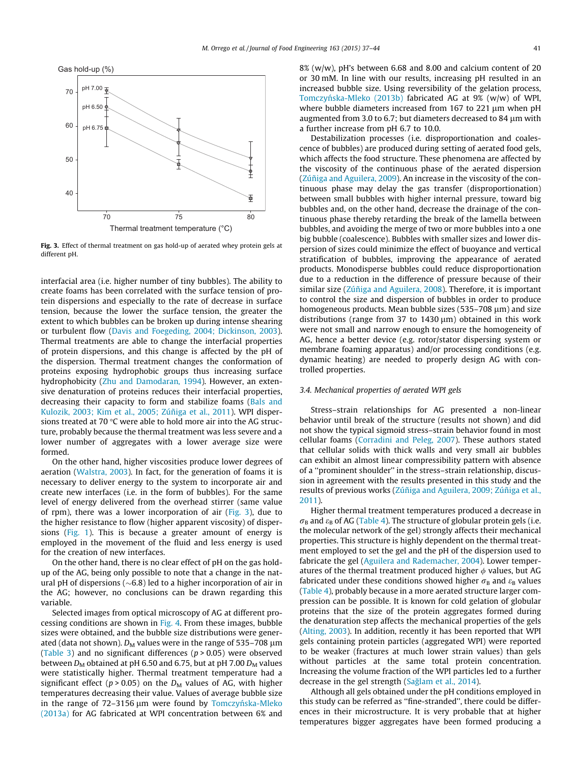<span id="page-4-0"></span>

Fig. 3. Effect of thermal treatment on gas hold-up of aerated whey protein gels at different pH.

interfacial area (i.e. higher number of tiny bubbles). The ability to create foams has been correlated with the surface tension of protein dispersions and especially to the rate of decrease in surface tension, because the lower the surface tension, the greater the extent to which bubbles can be broken up during intense shearing or turbulent flow [\(Davis and Foegeding, 2004; Dickinson, 2003\)](#page-6-0). Thermal treatments are able to change the interfacial properties of protein dispersions, and this change is affected by the pH of the dispersion. Thermal treatment changes the conformation of proteins exposing hydrophobic groups thus increasing surface hydrophobicity ([Zhu and Damodaran, 1994\)](#page-7-0). However, an extensive denaturation of proteins reduces their interfacial properties, decreasing their capacity to form and stabilize foams [\(Bals and](#page-6-0) [Kulozik, 2003; Kim et al., 2005; Zúñiga et al., 2011](#page-6-0)). WPI dispersions treated at 70 °C were able to hold more air into the AG structure, probably because the thermal treatment was less severe and a lower number of aggregates with a lower average size were formed.

On the other hand, higher viscosities produce lower degrees of aeration ([Walstra, 2003](#page-7-0)). In fact, for the generation of foams it is necessary to deliver energy to the system to incorporate air and create new interfaces (i.e. in the form of bubbles). For the same level of energy delivered from the overhead stirrer (same value of rpm), there was a lower incorporation of air (Fig. 3), due to the higher resistance to flow (higher apparent viscosity) of dispersions ([Fig. 1\)](#page-3-0). This is because a greater amount of energy is employed in the movement of the fluid and less energy is used for the creation of new interfaces.

On the other hand, there is no clear effect of pH on the gas holdup of the AG, being only possible to note that a change in the natural pH of dispersions ( $\sim$ 6.8) led to a higher incorporation of air in the AG; however, no conclusions can be drawn regarding this variable.

Selected images from optical microscopy of AG at different processing conditions are shown in [Fig. 4.](#page-5-0) From these images, bubble sizes were obtained, and the bubble size distributions were generated (data not shown).  $D_M$  values were in the range of 535–708  $\mu$ m ([Table 3](#page-5-0)) and no significant differences ( $p > 0.05$ ) were observed between  $D_M$  obtained at pH 6.50 and 6.75, but at pH 7.00  $D_M$  values were statistically higher. Thermal treatment temperature had a significant effect ( $p > 0.05$ ) on the  $D_M$  values of AG, with higher temperatures decreasing their value. Values of average bubble size in the range of  $72-3156 \mu m$  were found by Tomczyń[ska-Mleko](#page-6-0) [\(2013a\)](#page-6-0) for AG fabricated at WPI concentration between 6% and 8% (w/w), pH's between 6.68 and 8.00 and calcium content of 20 or 30 mM. In line with our results, increasing pH resulted in an increased bubble size. Using reversibility of the gelation process, Tomczyń[ska-Mleko \(2013b\)](#page-6-0) fabricated AG at 9% (w/w) of WPI, where bubble diameters increased from  $167$  to  $221 \mu m$  when pH augmented from 3.0 to 6.7; but diameters decreased to 84  $\mu$ m with a further increase from pH 6.7 to 10.0.

Destabilization processes (i.e. disproportionation and coalescence of bubbles) are produced during setting of aerated food gels, which affects the food structure. These phenomena are affected by the viscosity of the continuous phase of the aerated dispersion ([Zúñiga and Aguilera, 2009](#page-7-0)). An increase in the viscosity of the continuous phase may delay the gas transfer (disproportionation) between small bubbles with higher internal pressure, toward big bubbles and, on the other hand, decrease the drainage of the continuous phase thereby retarding the break of the lamella between bubbles, and avoiding the merge of two or more bubbles into a one big bubble (coalescence). Bubbles with smaller sizes and lower dispersion of sizes could minimize the effect of buoyance and vertical stratification of bubbles, improving the appearance of aerated products. Monodisperse bubbles could reduce disproportionation due to a reduction in the difference of pressure because of their similar size [\(Zúñiga and Aguilera, 2008\)](#page-7-0). Therefore, it is important to control the size and dispersion of bubbles in order to produce homogeneous products. Mean bubble sizes  $(535-708 \mu m)$  and size distributions (range from 37 to  $1430 \,\mu m$ ) obtained in this work were not small and narrow enough to ensure the homogeneity of AG, hence a better device (e.g. rotor/stator dispersing system or membrane foaming apparatus) and/or processing conditions (e.g. dynamic heating) are needed to properly design AG with controlled properties.

# 3.4. Mechanical properties of aerated WPI gels

Stress–strain relationships for AG presented a non-linear behavior until break of the structure (results not shown) and did not show the typical sigmoid stress–strain behavior found in most cellular foams ([Corradini and Peleg, 2007](#page-6-0)). These authors stated that cellular solids with thick walls and very small air bubbles can exhibit an almost linear compressibility pattern with absence of a ''prominent shoulder'' in the stress–strain relationship, discussion in agreement with the results presented in this study and the results of previous works [\(Zúñiga and Aguilera, 2009; Zúñiga et al.,](#page-7-0) [2011](#page-7-0)).

Higher thermal treatment temperatures produced a decrease in  $\sigma_B$  and  $\varepsilon_B$  of AG ([Table 4\)](#page-5-0). The structure of globular protein gels (i.e. the molecular network of the gel) strongly affects their mechanical properties. This structure is highly dependent on the thermal treatment employed to set the gel and the pH of the dispersion used to fabricate the gel [\(Aguilera and Rademacher, 2004\)](#page-6-0). Lower temperatures of the thermal treatment produced higher  $\phi$  values, but AG fabricated under these conditions showed higher  $\sigma_B$  and  $\varepsilon_B$  values ([Table 4\)](#page-5-0), probably because in a more aerated structure larger compression can be possible. It is known for cold gelation of globular proteins that the size of the protein aggregates formed during the denaturation step affects the mechanical properties of the gels ([Alting, 2003\)](#page-6-0). In addition, recently it has been reported that WPI gels containing protein particles (aggregated WPI) were reported to be weaker (fractures at much lower strain values) than gels without particles at the same total protein concentration. Increasing the volume fraction of the WPI particles led to a further decrease in the gel strength (Sağlam et al., 2014).

Although all gels obtained under the pH conditions employed in this study can be referred as ''fine-stranded'', there could be differences in their microstructure. It is very probable that at higher temperatures bigger aggregates have been formed producing a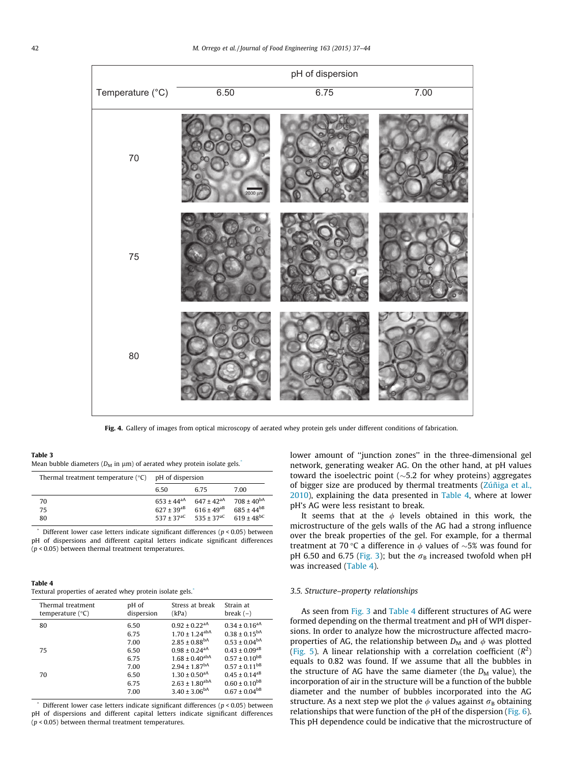<span id="page-5-0"></span>

Fig. 4. Gallery of images from optical microscopy of aerated whey protein gels under different conditions of fabrication.

Mean bubble diameters ( $D_M$  in  $\mu$ m) of aerated whey protein isolate gels.<sup>\*</sup>

| Thermal treatment temperature $(°C)$ | pH of dispersion  |                                                 |                   |
|--------------------------------------|-------------------|-------------------------------------------------|-------------------|
|                                      | 6.50              | 6.75                                            | 7.00              |
| 70                                   | $653 \pm 44^{aA}$ | $647 + 42$ <sup>aA</sup>                        | $708 + 40^{bA}$   |
| 75                                   | $627 \pm 39^{aB}$ | $616 \pm 49^{aB}$                               | $685 \pm 44^{bB}$ |
| 80                                   |                   | $537 + 37^{aC}$ $535 + 37^{aC}$ $619 + 48^{bC}$ |                   |

Different lower case letters indicate significant differences ( $p < 0.05$ ) between pH of dispersions and different capital letters indicate significant differences  $(p < 0.05)$  between thermal treatment temperatures.

| ıle<br>ıaı<br>n |  |
|-----------------|--|
|-----------------|--|

| Textural properties of aerated whey protein isolate gels. |  |  |  |  |
|-----------------------------------------------------------|--|--|--|--|
|                                                           |  |  |  |  |

| Thermal treatment         | pH of                | Stress at break                                                                                  | Strain at                                                                     |
|---------------------------|----------------------|--------------------------------------------------------------------------------------------------|-------------------------------------------------------------------------------|
| temperature $(^{\circ}C)$ | dispersion           | (kPa)                                                                                            | $break (-)$                                                                   |
| 80                        | 6.50<br>6.75         | $0.92 \pm 0.22$ <sup>aA</sup><br>$1.70 \pm 1.24$ <sup>abA</sup><br>$2.85 \pm 0.88$ <sup>bA</sup> | $0.34 \pm 0.16$ <sup>aA</sup><br>$0.38 \pm 0.15^{bA}$<br>$0.53 \pm 0.04^{bA}$ |
| 75                        | 7.00<br>6.50<br>6.75 | $0.98 \pm 0.24$ <sup>aA</sup><br>$1.68 \pm 0.40^{abA}$                                           | $0.43 \pm 0.09^{aB}$<br>$0.57 \pm 0.10^{bB}$                                  |
| 70                        | 7.00                 | $2.94 \pm 1.87^{bA}$                                                                             | $0.57 \pm 0.11$ <sup>bB</sup>                                                 |
|                           | 6.50                 | $1.30 \pm 0.50$ <sup>aA</sup>                                                                    | $0.45 \pm 0.14^{aB}$                                                          |
|                           | 6.75                 | $2.63 \pm 1.80^{abA}$                                                                            | $0.60 \pm 0.10^{bB}$                                                          |
|                           | 7.00                 | $3.40 \pm 3.06^{bA}$                                                                             | $0.67 \pm 0.04^{bB}$                                                          |

Different lower case letters indicate significant differences ( $p < 0.05$ ) between pH of dispersions and different capital letters indicate significant differences  $(p < 0.05)$  between thermal treatment temperatures.

lower amount of ''junction zones'' in the three-dimensional gel network, generating weaker AG. On the other hand, at pH values toward the isoelectric point ( $\sim$ 5.2 for whey proteins) aggregates of bigger size are produced by thermal treatments ([Zúñiga et al.,](#page-7-0) [2010\)](#page-7-0), explaining the data presented in Table 4, where at lower pH's AG were less resistant to break.

It seems that at the  $\phi$  levels obtained in this work, the microstructure of the gels walls of the AG had a strong influence over the break properties of the gel. For example, for a thermal treatment at 70 °C a difference in  $\phi$  values of  $\sim$ 5% was found for pH 6.50 and 6.75 [\(Fig. 3\)](#page-4-0); but the  $\sigma_\text{B}$  increased twofold when pH was increased (Table 4).

# 3.5. Structure–property relationships

As seen from [Fig. 3](#page-4-0) and Table 4 different structures of AG were formed depending on the thermal treatment and pH of WPI dispersions. In order to analyze how the microstructure affected macroproperties of AG, the relationship between  $D_M$  and  $\phi$  was plotted ([Fig. 5\)](#page-6-0). A linear relationship with a correlation coefficient  $(R^2)$ equals to 0.82 was found. If we assume that all the bubbles in the structure of AG have the same diameter (the  $D_M$  value), the incorporation of air in the structure will be a function of the bubble diameter and the number of bubbles incorporated into the AG structure. As a next step we plot the  $\phi$  values against  $\sigma_B$  obtaining relationships that were function of the pH of the dispersion [\(Fig. 6\)](#page-6-0). This pH dependence could be indicative that the microstructure of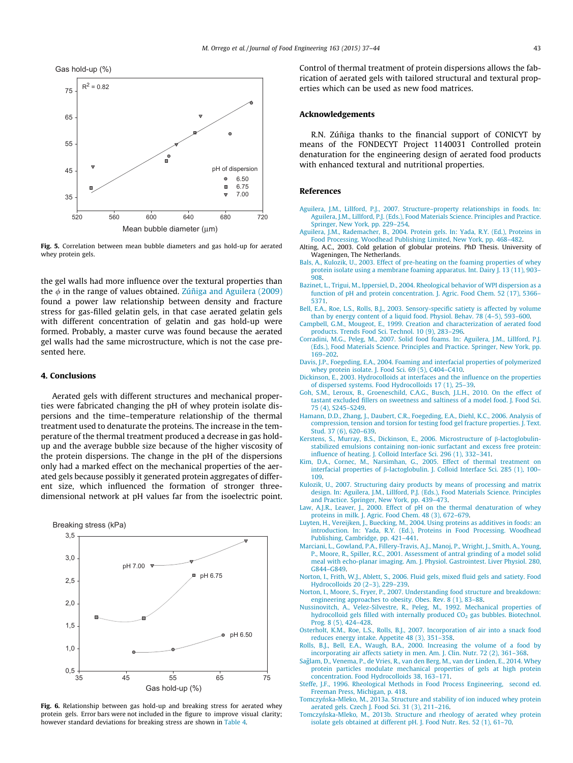<span id="page-6-0"></span>



Fig. 5. Correlation between mean bubble diameters and gas hold-up for aerated whey protein gels.

the gel walls had more influence over the textural properties than the  $\phi$  in the range of values obtained. [Zúñiga and Aguilera \(2009\)](#page-7-0) found a power law relationship between density and fracture stress for gas-filled gelatin gels, in that case aerated gelatin gels with different concentration of gelatin and gas hold-up were formed. Probably, a master curve was found because the aerated gel walls had the same microstructure, which is not the case presented here.

# 4. Conclusions

Aerated gels with different structures and mechanical properties were fabricated changing the pH of whey protein isolate dispersions and the time–temperature relationship of the thermal treatment used to denaturate the proteins. The increase in the temperature of the thermal treatment produced a decrease in gas holdup and the average bubble size because of the higher viscosity of the protein dispersions. The change in the pH of the dispersions only had a marked effect on the mechanical properties of the aerated gels because possibly it generated protein aggregates of different size, which influenced the formation of stronger threedimensional network at pH values far from the isoelectric point.



Fig. 6. Relationship between gas hold-up and breaking stress for aerated whey protein gels. Error bars were not included in the figure to improve visual clarity; however standard deviations for breaking stress are shown in [Table 4.](#page-5-0)

Control of thermal treatment of protein dispersions allows the fabrication of aerated gels with tailored structural and textural properties which can be used as new food matrices.

# Acknowledgements

R.N. Zúñiga thanks to the financial support of CONICYT by means of the FONDECYT Project 1140031 Controlled protein denaturation for the engineering design of aerated food products with enhanced textural and nutritional properties.

# References

- [Aguilera, J.M., Lillford, P.J., 2007. Structure–property relationships in foods. In:](http://refhub.elsevier.com/S0260-8774(15)00194-6/h0005) [Aguilera, J.M., Lillford, P.J. \(Eds.\), Food Materials Science. Principles and Practice.](http://refhub.elsevier.com/S0260-8774(15)00194-6/h0005) [Springer, New York, pp. 229–254](http://refhub.elsevier.com/S0260-8774(15)00194-6/h0005).
- [Aguilera, J.M., Rademacher, B., 2004. Protein gels. In: Yada, R.Y. \(Ed.\), Proteins in](http://refhub.elsevier.com/S0260-8774(15)00194-6/h0010) [Food Processing. Woodhead Publishing Limited, New York, pp. 468–482.](http://refhub.elsevier.com/S0260-8774(15)00194-6/h0010)
- Alting, A.C., 2003. Cold gelation of globular proteins. PhD Thesis. University of Wageningen, The Netherlands.
- [Bals, A., Kulozik, U., 2003. Effect of pre-heating on the foaming properties of whey](http://refhub.elsevier.com/S0260-8774(15)00194-6/h0020) protein isolate using a membrane foaming apparatus. Int. Dairy J. 13 (11), 903-[908.](http://refhub.elsevier.com/S0260-8774(15)00194-6/h0020)
- [Bazinet, L., Trigui, M., Ippersiel, D., 2004. Rheological behavior of WPI dispersion as a](http://refhub.elsevier.com/S0260-8774(15)00194-6/h0025) [function of pH and protein concentration. J. Agric. Food Chem. 52 \(17\), 5366–](http://refhub.elsevier.com/S0260-8774(15)00194-6/h0025) [5371.](http://refhub.elsevier.com/S0260-8774(15)00194-6/h0025)
- [Bell, E.A., Roe, L.S., Rolls, B.J., 2003. Sensory-specific satiety is affected by volume](http://refhub.elsevier.com/S0260-8774(15)00194-6/h0030) [than by energy content of a liquid food. Physiol. Behav. 78 \(4–5\), 593–600.](http://refhub.elsevier.com/S0260-8774(15)00194-6/h0030)
- [Campbell, G.M., Mougeot, E., 1999. Creation and characterization of aerated food](http://refhub.elsevier.com/S0260-8774(15)00194-6/h0035) [products. Trends Food Sci. Technol. 10 \(9\), 283–296](http://refhub.elsevier.com/S0260-8774(15)00194-6/h0035).
- [Corradini, M.G., Peleg, M., 2007. Solid food foams. In: Aguilera, J.M., Lillford, P.J.](http://refhub.elsevier.com/S0260-8774(15)00194-6/h0040) [\(Eds.\), Food Materials Science. Principles and Practice. Springer, New York, pp.](http://refhub.elsevier.com/S0260-8774(15)00194-6/h0040) [169–202](http://refhub.elsevier.com/S0260-8774(15)00194-6/h0040).
- [Davis, J.P., Foegeding, E.A., 2004. Foaming and interfacial properties of polymerized](http://refhub.elsevier.com/S0260-8774(15)00194-6/h0045) [whey protein isolate. J. Food Sci. 69 \(5\), C404–C410](http://refhub.elsevier.com/S0260-8774(15)00194-6/h0045).
- [Dickinson, E., 2003. Hydrocolloids at interfaces and the influence on the properties](http://refhub.elsevier.com/S0260-8774(15)00194-6/h0050) [of dispersed systems. Food Hydrocolloids 17 \(1\), 25–39.](http://refhub.elsevier.com/S0260-8774(15)00194-6/h0050)
- [Goh, S.M., Leroux, B., Groeneschild, C.A.G., Busch, J.L.H., 2010. On the effect of](http://refhub.elsevier.com/S0260-8774(15)00194-6/h0055) [tastant excluded fillers on sweetness and saltiness of a model food. J. Food Sci.](http://refhub.elsevier.com/S0260-8774(15)00194-6/h0055) [75 \(4\), S245–S249](http://refhub.elsevier.com/S0260-8774(15)00194-6/h0055).
- [Hamann, D.D., Zhang, J., Daubert, C.R., Foegeding, E.A., Diehl, K.C., 2006. Analysis of](http://refhub.elsevier.com/S0260-8774(15)00194-6/h0060) [compression, tension and torsion for testing food gel fracture properties. J. Text.](http://refhub.elsevier.com/S0260-8774(15)00194-6/h0060) [Stud. 37 \(6\), 620–639.](http://refhub.elsevier.com/S0260-8774(15)00194-6/h0060)
- [Kerstens, S., Murray, B.S., Dickinson, E., 2006. Microstructure of](http://refhub.elsevier.com/S0260-8774(15)00194-6/h0065)  $\beta$ -lactoglobulin[stabilized emulsions containing non-ionic surfactant and excess free protein:](http://refhub.elsevier.com/S0260-8774(15)00194-6/h0065) [influence of heating. J. Colloid Interface Sci. 296 \(1\), 332–341](http://refhub.elsevier.com/S0260-8774(15)00194-6/h0065).
- [Kim, D.A., Cornec, M., Narsimhan, G., 2005. Effect of thermal treatment on](http://refhub.elsevier.com/S0260-8774(15)00194-6/h0070) interfacial properties of  $\beta$ -lactoglobulin. J. Colloid Interface Sci. 285 (1), 100-[109.](http://refhub.elsevier.com/S0260-8774(15)00194-6/h0070)
- [Kulozik, U., 2007. Structuring dairy products by means of processing and matrix](http://refhub.elsevier.com/S0260-8774(15)00194-6/h0075) [design. In: Aguilera, J.M., Lillford, P.J. \(Eds.\), Food Materials Science. Principles](http://refhub.elsevier.com/S0260-8774(15)00194-6/h0075) [and Practice. Springer, New York, pp. 439–473](http://refhub.elsevier.com/S0260-8774(15)00194-6/h0075).
- [Law, A.J.R., Leaver, J., 2000. Effect of pH on the thermal denaturation of whey](http://refhub.elsevier.com/S0260-8774(15)00194-6/h0080) [proteins in milk. J. Agric. Food Chem. 48 \(3\), 672–679.](http://refhub.elsevier.com/S0260-8774(15)00194-6/h0080)
- [Luyten, H., Vereijken, J., Buecking, M., 2004. Using proteins as additives in foods: an](http://refhub.elsevier.com/S0260-8774(15)00194-6/h0085) [introduction. In: Yada, R.Y. \(Ed.\), Proteins in Food Processing. Woodhead](http://refhub.elsevier.com/S0260-8774(15)00194-6/h0085) [Publishing, Cambridge, pp. 421–441](http://refhub.elsevier.com/S0260-8774(15)00194-6/h0085).
- [Marciani, L., Gowland, P.A., Fillery-Travis, A.J., Manoj, P., Wright, J., Smith, A., Young,](http://refhub.elsevier.com/S0260-8774(15)00194-6/h0090) [P., Moore, R., Spiller, R.C., 2001. Assessment of antral grinding of a model solid](http://refhub.elsevier.com/S0260-8774(15)00194-6/h0090) [meal with echo-planar imaging. Am. J. Physiol. Gastrointest. Liver Physiol. 280,](http://refhub.elsevier.com/S0260-8774(15)00194-6/h0090) [G844–G849](http://refhub.elsevier.com/S0260-8774(15)00194-6/h0090).
- [Norton, I., Frith, W.J., Ablett, S., 2006. Fluid gels, mixed fluid gels and satiety. Food](http://refhub.elsevier.com/S0260-8774(15)00194-6/h0095) [Hydrocolloids 20 \(2–3\), 229–239.](http://refhub.elsevier.com/S0260-8774(15)00194-6/h0095)
- [Norton, I., Moore, S., Fryer, P., 2007. Understanding food structure and breakdown:](http://refhub.elsevier.com/S0260-8774(15)00194-6/h0100) [engineering approaches to obesity. Obes. Rev. 8 \(1\), 83–88](http://refhub.elsevier.com/S0260-8774(15)00194-6/h0100).
- [Nussinovitch, A., Velez-Silvestre, R., Peleg, M., 1992. Mechanical properties of](http://refhub.elsevier.com/S0260-8774(15)00194-6/h0105) hydrocolloid gels filled with internally produced  $CO<sub>2</sub>$  [gas bubbles. Biotechnol.](http://refhub.elsevier.com/S0260-8774(15)00194-6/h0105) [Prog. 8 \(5\), 424–428.](http://refhub.elsevier.com/S0260-8774(15)00194-6/h0105)
- [Osterholt, K.M., Roe, L.S., Rolls, B.J., 2007. Incorporation of air into a snack food](http://refhub.elsevier.com/S0260-8774(15)00194-6/h0110) [reduces energy intake. Appetite 48 \(3\), 351–358.](http://refhub.elsevier.com/S0260-8774(15)00194-6/h0110)
- [Rolls, B.J., Bell, E.A., Waugh, B.A., 2000. Increasing the volume of a food by](http://refhub.elsevier.com/S0260-8774(15)00194-6/h0115) [incorporating air affects satiety in men. Am. J. Clin. Nutr. 72 \(2\), 361–368.](http://refhub.elsevier.com/S0260-8774(15)00194-6/h0115)
- Sağlam, D., Venema, P., de Vries, R., van den Berg, M., van der Linden, E., 2014. Whey [protein particles modulate mechanical properties of gels at high protein](http://refhub.elsevier.com/S0260-8774(15)00194-6/h0120) [concentration. Food Hydrocolloids 38, 163–171.](http://refhub.elsevier.com/S0260-8774(15)00194-6/h0120)
- [Steffe, J.F., 1996. Rheological Methods in Food Process Engineering, second ed.](http://refhub.elsevier.com/S0260-8774(15)00194-6/h0125) [Freeman Press, Michigan, p. 418.](http://refhub.elsevier.com/S0260-8774(15)00194-6/h0125)
- Tomczyń[ska-Mleko, M., 2013a. Structure and stability of ion induced whey protein](http://refhub.elsevier.com/S0260-8774(15)00194-6/h0130) [aerated gels. Czech J. Food Sci. 31 \(3\), 211–216](http://refhub.elsevier.com/S0260-8774(15)00194-6/h0130).
- Tomczyń[ska-Mleko, M., 2013b. Structure and rheology of aerated whey protein](http://refhub.elsevier.com/S0260-8774(15)00194-6/h0135) [isolate gels obtained at different pH. J. Food Nutr. Res. 52 \(1\), 61–70](http://refhub.elsevier.com/S0260-8774(15)00194-6/h0135).